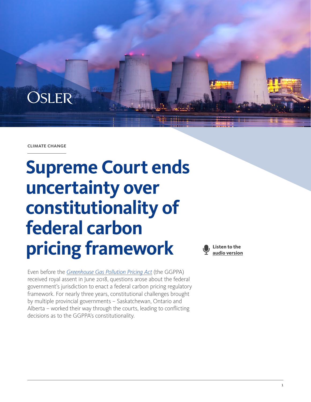

#### climate change

# **Supreme Court ends uncertainty over constitutionality of federal carbon pricing framework**

Even before the *[Greenhouse Gas Pollution Pricing Act](https://laws-lois.justice.gc.ca/eng/acts/G-11.55/page-1.html)* (the GGPPA) received royal assent in June 2018, questions arose about the federal government's jurisdiction to enact a federal carbon pricing regulatory framework. For nearly three years, constitutional challenges brought by multiple provincial governments – Saskatchewan, Ontario and Alberta – worked their way through the courts, leading to conflicting decisions as to the GGPPA's constitutionality.



1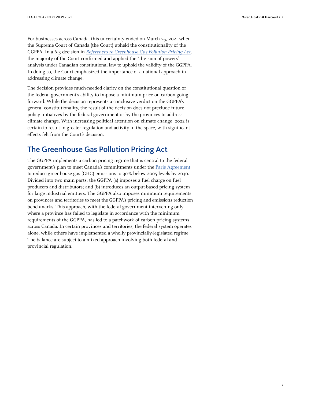For businesses across Canada, this uncertainty ended on March 25, 2021 when the Supreme Court of Canada (the Court) upheld the constitutionality of the GGPPA. In a 6-3 decision in [References re Greenhouse Gas Pollution Pricing Act](https://scc-csc.lexum.com/scc-csc/scc-csc/en/item/18781/index.do), the majority of the Court confirmed and applied the "division of powers" analysis under Canadian constitutional law to uphold the validity of the GGPPA. In doing so, the Court emphasized the importance of a national approach in addressing climate change.

The decision provides much-needed clarity on the constitutional question of the federal government's ability to impose a minimum price on carbon going forward. While the decision represents a conclusive verdict on the GGPPA's general constitutionality, the result of the decision does not preclude future policy initiatives by the federal government or by the provinces to address climate change. With increasing political attention on climate change, 2022 is certain to result in greater regulation and activity in the space, with significant effects felt from the Court's decision.

# The Greenhouse Gas Pollution Pricing Act

The GGPPA implements a carbon pricing regime that is central to the federal government's plan to meet Canada's commitments under the [Paris Agreement](https://unfccc.int/process-and-meetings/the-paris-agreement/the-paris-agreement) to reduce greenhouse gas (GHG) emissions to 30% below 2005 levels by 2030. Divided into two main parts, the GGPPA (a) imposes a fuel charge on fuel producers and distributors; and (b) introduces an output-based pricing system for large industrial emitters. The GGPPA also imposes minimum requirements on provinces and territories to meet the GGPPA's pricing and emissions reduction benchmarks. This approach, with the federal government intervening only where a province has failed to legislate in accordance with the minimum requirements of the GGPPA, has led to a patchwork of carbon pricing systems across Canada. In certain provinces and territories, the federal system operates alone, while others have implemented a wholly provincially-legislated regime. The balance are subject to a mixed approach involving both federal and provincial regulation.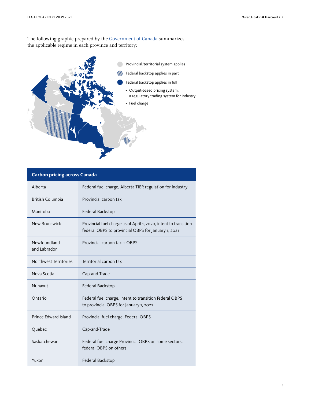The following graphic prepared by the [Government of Canada](https://www.canada.ca/en/environment-climate-change/services/climate-change/pricing-pollution-how-it-will-work.html) summarizes the applicable regime in each province and territory:



### **Carbon pricing across Canada**

| Alberta                      | Federal fuel charge, Alberta TIER regulation for industry                                                               |
|------------------------------|-------------------------------------------------------------------------------------------------------------------------|
| <b>British Columbia</b>      | Provincial carbon tax                                                                                                   |
| Manitoba                     | Federal Backstop                                                                                                        |
| New Brunswick                | Provincial fuel charge as of April 1, 2020, intent to transition<br>federal OBPS to provincial OBPS for January 1, 2021 |
| Newfoundland<br>and Labrador | Provincial carbon tax + OBPS                                                                                            |
| Northwest Territories        | Territorial carbon tax                                                                                                  |
| Nova Scotia                  | Cap-and-Trade                                                                                                           |
| Nunavut                      | Federal Backstop                                                                                                        |
| Ontario                      | Federal fuel charge, intent to transition federal OBPS<br>to provincial OBPS for January 1, 2022                        |
| Prince Edward Island         | Provincial fuel charge, Federal OBPS                                                                                    |
| Quebec                       | Cap-and-Trade                                                                                                           |
| Saskatchewan                 | Federal fuel charge Provincial OBPS on some sectors,<br>federal OBPS on others                                          |
| Yukon                        | Federal Backstop                                                                                                        |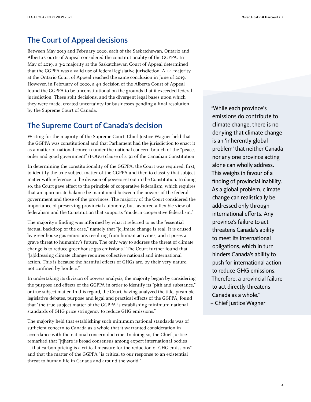# The Court of Appeal decisions

Between May 2019 and February 2020, each of the Saskatchewan, Ontario and Alberta Courts of Appeal considered the constitutionality of the GGPPA. In May of 2019, a 3-2 majority at the Saskatchewan Court of Appeal determined that the GGPPA was a valid use of federal legislative jurisdiction. A 4-1 majority at the Ontario Court of Appeal reached the same conclusion in June of 2019. However, in February of 2020, a 4-1 decision of the Alberta Court of Appeal found the GGPPA to be unconstitutional on the grounds that it exceeded federal jurisdiction. These split decisions, and the divergent legal bases upon which they were made, created uncertainty for businesses pending a final resolution by the Supreme Court of Canada.

# The Supreme Court of Canada's decision

Writing for the majority of the Supreme Court, Chief Justice Wagner held that the GGPPA was constitutional and that Parliament had the jurisdiction to enact it as a matter of national concern under the national concern branch of the "peace, order and good government" (POGG) clause of s. 91 of the Canadian Constitution.

In determining the constitutionality of the GGPPA, the Court was required, first, to identify the true subject matter of the GGPPA and then to classify that subject matter with reference to the division of powers set out in the Constitution. In doing so, the Court gave effect to the principle of cooperative federalism, which requires that an appropriate balance be maintained between the powers of the federal government and those of the provinces. The majority of the Court considered the importance of preserving provincial autonomy, but favoured a flexible view of federalism and the Constitution that supports "modern cooperative federalism."

The majority's finding was informed by what it referred to as the "essential factual backdrop of the case," namely that "[c]limate change is real. It is caused by greenhouse gas emissions resulting from human activities, and it poses a grave threat to humanity's future. The only way to address the threat of climate change is to reduce greenhouse gas emissions." The Court further found that "[a]ddressing climate change requires collective national and international action. This is because the harmful effects of GHGs are, by their very nature, not confined by borders."

In undertaking its division of powers analysis, the majority began by considering the purpose and effects of the GGPPA in order to identify its "pith and substance," or true subject matter. In this regard, the Court, having analyzed the title, preamble, legislative debates, purpose and legal and practical effects of the GGPPA, found that "the true subject matter of the GGPPA is establishing minimum national standards of GHG price stringency to reduce GHG emissions."

The majority held that establishing such minimum national standards was of sufficient concern to Canada as a whole that it warranted consideration in accordance with the national concern doctrine. In doing so, the Chief Justice remarked that "[t]here is broad consensus among expert international bodies … that carbon pricing is a critical measure for the reduction of GHG emissions" and that the matter of the GGPPA "is critical to our response to an existential threat to human life in Canada and around the world."

"While each province's emissions do contribute to climate change, there is no denying that climate change is an 'inherently global problem' that neither Canada nor any one province acting alone can wholly address. This weighs in favour of a finding of provincial inability. As a global problem, climate change can realistically be addressed only through international efforts. Any province's failure to act threatens Canada's ability to meet its international obligations, which in turn hinders Canada's ability to push for international action to reduce GHG emissions. Therefore, a provincial failure to act directly threatens Canada as a whole." – Chief Justice Wagner

4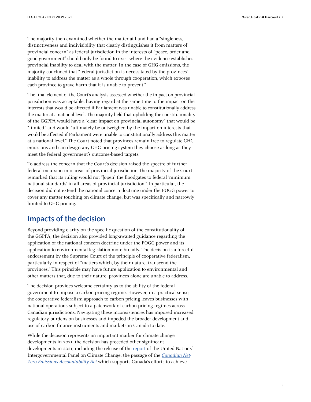The majority then examined whether the matter at hand had a "singleness, distinctiveness and indivisibility that clearly distinguishes it from matters of provincial concern" as federal jurisdiction in the interests of "peace, order and good government" should only be found to exist where the evidence establishes provincial inability to deal with the matter. In the case of GHG emissions, the majority concluded that "federal jurisdiction is necessitated by the provinces' inability to address the matter as a whole through cooperation, which exposes each province to grave harm that it is unable to prevent."

The final element of the Court's analysis assessed whether the impact on provincial jurisdiction was acceptable, having regard at the same time to the impact on the interests that would be affected if Parliament was unable to constitutionally address the matter at a national level. The majority held that upholding the constitutionality of the GGPPA would have a "clear impact on provincial autonomy" that would be "limited" and would "ultimately be outweighed by the impact on interests that would be affected if Parliament were unable to constitutionally address this matter at a national level." The Court noted that provinces remain free to regulate GHG emissions and can design any GHG pricing system they choose as long as they meet the federal government's outcome-based targets.

To address the concern that the Court's decision raised the spectre of further federal incursion into areas of provincial jurisdiction, the majority of the Court remarked that its ruling would not "[open] the floodgates to federal 'minimum national standards' in all areas of provincial jurisdiction." In particular, the decision did not extend the national concern doctrine under the POGG power to cover any matter touching on climate change, but was specifically and narrowly limited to GHG pricing.

## Impacts of the decision

Beyond providing clarity on the specific question of the constitutionality of the GGPPA, the decision also provided long-awaited guidance regarding the application of the national concern doctrine under the POGG power and its application to environmental legislation more broadly. The decision is a forceful endorsement by the Supreme Court of the principle of cooperative federalism, particularly in respect of "matters which, by their nature, transcend the provinces." This principle may have future application to environmental and other matters that, due to their nature, provinces alone are unable to address.

The decision provides welcome certainty as to the ability of the federal government to impose a carbon pricing regime. However, in a practical sense, the cooperative federalism approach to carbon pricing leaves businesses with national operations subject to a patchwork of carbon pricing regimes across Canadian jurisdictions. Navigating these inconsistencies has imposed increased regulatory burdens on businesses and impeded the broader development and use of carbon finance instruments and markets in Canada to date.

While the decision represents an important marker for climate change developments in 2021, the decision has preceded other significant developments in 2021, including the release of the [report](https://www.ipcc.ch/report/ar6/wg1/downloads/report/IPCC_AR6_WGI_Full_Report.pdf) of the United Nations' Intergovernmental Panel on Climate Change, the passage of the [Canadian Net-](https://laws-lois.justice.gc.ca/eng/acts/C-19.3/FullText.html)[Zero Emissions Accountability Act](https://laws-lois.justice.gc.ca/eng/acts/C-19.3/FullText.html) which supports Canada's efforts to achieve